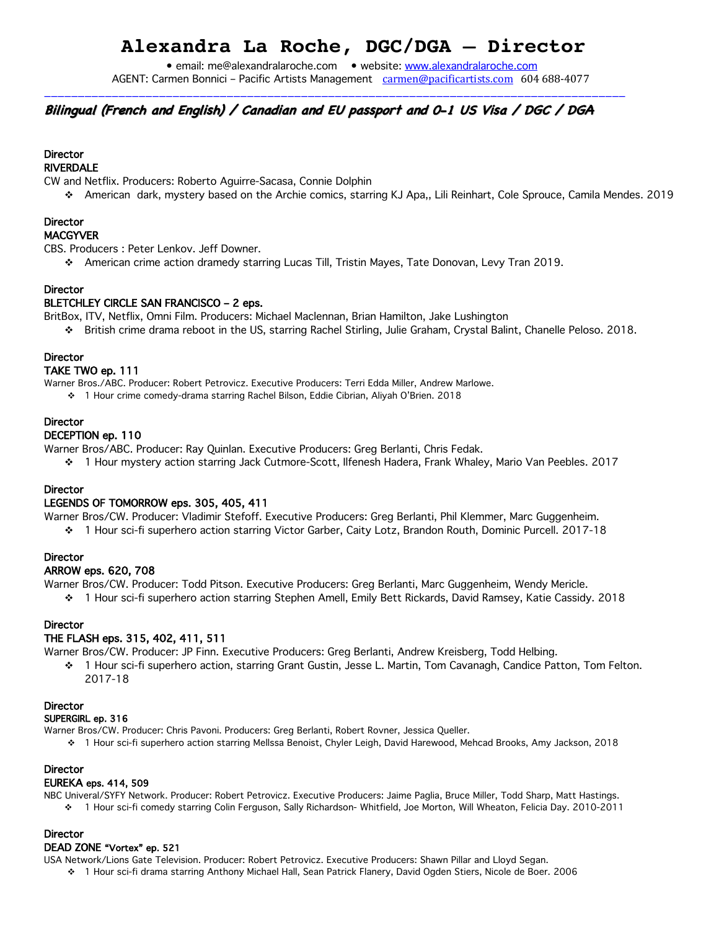## **Alexandra La Roche, DGC/DGA – Director**

• email: me@alexandralaroche.com • website: www.alexandralaroche.com AGENT: Carmen Bonnici – Pacific Artists Management carmen@pacificartists.com 604 688-4077

### Bilingual (French and English) / Canadian and EU passport and 0-1 US Visa / DGC / DGA

\_\_\_\_\_\_\_\_\_\_\_\_\_\_\_\_\_\_\_\_\_\_\_\_\_\_\_\_\_\_\_\_\_\_\_\_\_\_\_\_\_\_\_\_\_\_\_\_\_\_\_\_\_\_\_\_\_\_\_\_\_\_\_\_\_\_\_\_\_\_\_\_\_\_\_\_\_\_\_\_\_\_\_\_\_\_

## **Director**

RIVERDALE

CW and Netflix. Producers: Roberto Aguirre-Sacasa, Connie Dolphin

v American dark, mystery based on the Archie comics, starring KJ Apa,, Lili Reinhart, Cole Sprouce, Camila Mendes. 2019

## **Director**

#### MACGYVER

CBS. Producers : Peter Lenkov. Jeff Downer.

◆ American crime action dramedy starring Lucas Till, Tristin Mayes, Tate Donovan, Levy Tran 2019.

#### **Director**

#### BLETCHLEY CIRCLE SAN FRANCISCO – 2 eps.

BritBox, ITV, Netflix, Omni Film. Producers: Michael Maclennan, Brian Hamilton, Jake Lushington

v British crime drama reboot in the US, starring Rachel Stirling, Julie Graham, Crystal Balint, Chanelle Peloso. 2018.

#### **Director**

#### TAKE TWO ep. 111

Warner Bros./ABC. Producer: Robert Petrovicz. Executive Producers: Terri Edda Miller, Andrew Marlowe.

v 1 Hour crime comedy-drama starring Rachel Bilson, Eddie Cibrian, Aliyah O'Brien. 2018

#### **Director**

#### DECEPTION ep. 110

Warner Bros/ABC. Producer: Ray Quinlan. Executive Producers: Greg Berlanti, Chris Fedak.

v 1 Hour mystery action starring Jack Cutmore-Scott, Ilfenesh Hadera, Frank Whaley, Mario Van Peebles. 2017

#### **Director**

#### LEGENDS OF TOMORROW eps. 305, 405, 411

Warner Bros/CW. Producer: Vladimir Stefoff. Executive Producers: Greg Berlanti, Phil Klemmer, Marc Guggenheim.

1 Hour sci-fi superhero action starring Victor Garber, Caity Lotz, Brandon Routh, Dominic Purcell. 2017-18

#### **Director**

#### ARROW eps. 620, 708

Warner Bros/CW. Producer: Todd Pitson. Executive Producers: Greg Berlanti, Marc Guggenheim, Wendy Mericle.

v 1 Hour sci-fi superhero action starring Stephen Amell, Emily Bett Rickards, David Ramsey, Katie Cassidy. 2018

#### Director

#### THE FLASH eps. 315, 402, 411, 511

Warner Bros/CW. Producer: JP Finn. Executive Producers: Greg Berlanti, Andrew Kreisberg, Todd Helbing.

v 1 Hour sci-fi superhero action, starring Grant Gustin, Jesse L. Martin, Tom Cavanagh, Candice Patton, Tom Felton. 2017-18

#### **Director**

#### SUPERGIRL ep. 316

Warner Bros/CW. Producer: Chris Pavoni. Producers: Greg Berlanti, Robert Rovner, Jessica Queller.

v 1 Hour sci-fi superhero action starring Mellssa Benoist, Chyler Leigh, David Harewood, Mehcad Brooks, Amy Jackson, 2018

#### **Director**

#### EUREKA eps. 414, 509

NBC Univeral/SYFY Network. Producer: Robert Petrovicz. Executive Producers: Jaime Paglia, Bruce Miller, Todd Sharp, Matt Hastings. v 1 Hour sci-fi comedy starring Colin Ferguson, Sally Richardson- Whitfield, Joe Morton, Will Wheaton, Felicia Day. 2010-2011

#### **Director**

#### DEAD ZONE "Vortex" ep. 521

USA Network/Lions Gate Television. Producer: Robert Petrovicz. Executive Producers: Shawn Pillar and Lloyd Segan.

v 1 Hour sci-fi drama starring Anthony Michael Hall, Sean Patrick Flanery, David Ogden Stiers, Nicole de Boer. 2006